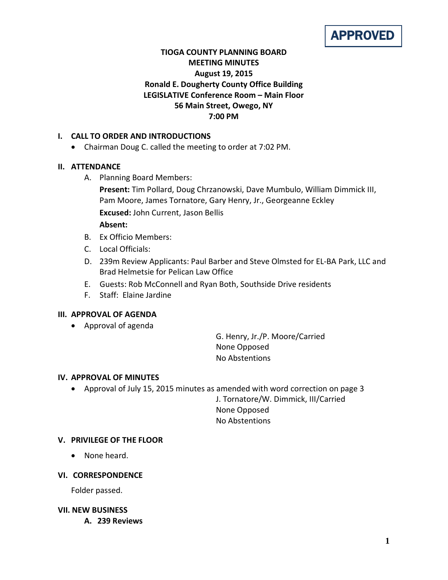

# **TIOGA COUNTY PLANNING BOARD MEETING MINUTES August 19, 2015 Ronald E. Dougherty County Office Building LEGISLATIVE Conference Room – Main Floor 56 Main Street, Owego, NY 7:00 PM**

## **I. CALL TO ORDER AND INTRODUCTIONS**

• Chairman Doug C. called the meeting to order at 7:02 PM.

### **II. ATTENDANCE**

A. Planning Board Members:

**Present:** Tim Pollard, Doug Chrzanowski, Dave Mumbulo, William Dimmick III, Pam Moore, James Tornatore, Gary Henry, Jr., Georgeanne Eckley **Excused:** John Current, Jason Bellis **Absent:**

- B. Ex Officio Members:
- C. Local Officials:
- D. 239m Review Applicants: Paul Barber and Steve Olmsted for EL-BA Park, LLC and Brad Helmetsie for Pelican Law Office
- E. Guests: Rob McConnell and Ryan Both, Southside Drive residents
- F. Staff: Elaine Jardine

### **III. APPROVAL OF AGENDA**

• Approval of agenda

G. Henry, Jr./P. Moore/Carried None Opposed No Abstentions

#### **IV. APPROVAL OF MINUTES**

• Approval of July 15, 2015 minutes as amended with word correction on page 3

J. Tornatore/W. Dimmick, III/Carried None Opposed No Abstentions

### **V. PRIVILEGE OF THE FLOOR**

• None heard.

### **VI. CORRESPONDENCE**

Folder passed.

#### **VII. NEW BUSINESS**

**A. 239 Reviews**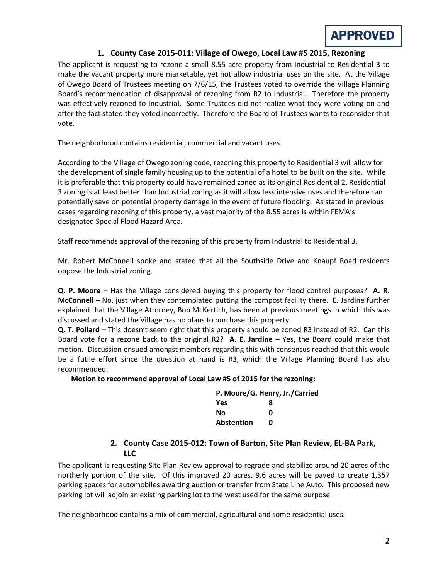

## **1. County Case 2015-011: Village of Owego, Local Law #5 2015, Rezoning**

The applicant is requesting to rezone a small 8.55 acre property from Industrial to Residential 3 to make the vacant property more marketable, yet not allow industrial uses on the site. At the Village of Owego Board of Trustees meeting on 7/6/15, the Trustees voted to override the Village Planning Board's recommendation of disapproval of rezoning from R2 to Industrial. Therefore the property was effectively rezoned to Industrial. Some Trustees did not realize what they were voting on and after the fact stated they voted incorrectly. Therefore the Board of Trustees wants to reconsider that vote.

The neighborhood contains residential, commercial and vacant uses.

According to the Village of Owego zoning code, rezoning this property to Residential 3 will allow for the development of single family housing up to the potential of a hotel to be built on the site. While it is preferable that this property could have remained zoned as its original Residential 2, Residential 3 zoning is at least better than Industrial zoning as it will allow less intensive uses and therefore can potentially save on potential property damage in the event of future flooding. As stated in previous cases regarding rezoning of this property, a vast majority of the 8.55 acres is within FEMA's designated Special Flood Hazard Area.

Staff recommends approval of the rezoning of this property from Industrial to Residential 3.

Mr. Robert McConnell spoke and stated that all the Southside Drive and Knaupf Road residents oppose the Industrial zoning.

**Q. P. Moore** – Has the Village considered buying this property for flood control purposes? **A. R. McConnell** – No, just when they contemplated putting the compost facility there. E. Jardine further explained that the Village Attorney, Bob McKertich, has been at previous meetings in which this was discussed and stated the Village has no plans to purchase this property.

**Q. T. Pollard** – This doesn't seem right that this property should be zoned R3 instead of R2. Can this Board vote for a rezone back to the original R2? **A. E. Jardine** – Yes, the Board could make that motion. Discussion ensued amongst members regarding this with consensus reached that this would be a futile effort since the question at hand is R3, which the Village Planning Board has also recommended.

#### **Motion to recommend approval of Local Law #5 of 2015 for the rezoning:**

| P. Moore/G. Henry, Jr./Carried |   |  |
|--------------------------------|---|--|
| Yes                            | 8 |  |
| Nο                             | ŋ |  |
| <b>Abstention</b>              | n |  |

## **2. County Case 2015-012: Town of Barton, Site Plan Review, EL-BA Park, LLC**

The applicant is requesting Site Plan Review approval to regrade and stabilize around 20 acres of the northerly portion of the site. Of this improved 20 acres, 9.6 acres will be paved to create 1,357 parking spaces for automobiles awaiting auction or transfer from State Line Auto. This proposed new parking lot will adjoin an existing parking lot to the west used for the same purpose.

The neighborhood contains a mix of commercial, agricultural and some residential uses.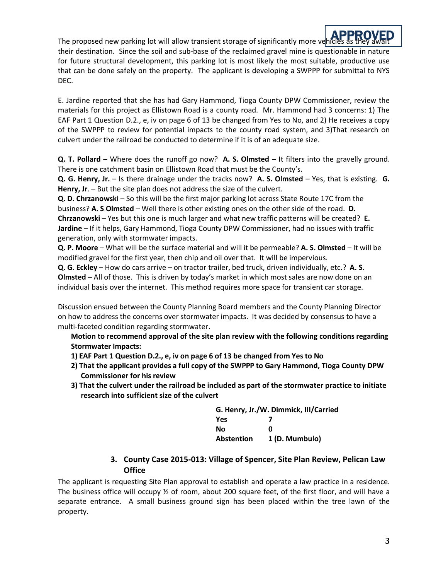**APPROVED**<br>The proposed new parking lot will allow transient storage of significantly more vehicles as they await their destination. Since the soil and sub-base of the reclaimed gravel mine is questionable in nature for future structural development, this parking lot is most likely the most suitable, productive use that can be done safely on the property. The applicant is developing a SWPPP for submittal to NYS DEC.

E. Jardine reported that she has had Gary Hammond, Tioga County DPW Commissioner, review the materials for this project as Ellistown Road is a county road. Mr. Hammond had 3 concerns: 1) The EAF Part 1 Question D.2., e, iv on page 6 of 13 be changed from Yes to No, and 2) He receives a copy of the SWPPP to review for potential impacts to the county road system, and 3)That research on culvert under the railroad be conducted to determine if it is of an adequate size.

**Q. T. Pollard** – Where does the runoff go now? **A. S. Olmsted** – It filters into the gravelly ground. There is one catchment basin on Ellistown Road that must be the County's.

**Q. G. Henry, Jr.** – Is there drainage under the tracks now? **A. S. Olmsted** – Yes, that is existing. **G. Henry, Jr**. – But the site plan does not address the size of the culvert.

**Q. D. Chrzanowski** – So this will be the first major parking lot across State Route 17C from the business? **A. S Olmsted** – Well there is other existing ones on the other side of the road. **D. Chrzanowski** – Yes but this one is much larger and what new traffic patterns will be created? **E. Jardine** – If it helps, Gary Hammond, Tioga County DPW Commissioner, had no issues with traffic generation, only with stormwater impacts.

**Q. P. Moore** – What will be the surface material and will it be permeable? **A. S. Olmsted** – It will be modified gravel for the first year, then chip and oil over that. It will be impervious.

**Q. G. Eckley** – How do cars arrive – on tractor trailer, bed truck, driven individually, etc.? **A. S. Olmsted** – All of those. This is driven by today's market in which most sales are now done on an individual basis over the internet. This method requires more space for transient car storage.

Discussion ensued between the County Planning Board members and the County Planning Director on how to address the concerns over stormwater impacts. It was decided by consensus to have a multi-faceted condition regarding stormwater.

**Motion to recommend approval of the site plan review with the following conditions regarding Stormwater Impacts:**

- **1) EAF Part 1 Question D.2., e, iv on page 6 of 13 be changed from Yes to No**
- **2) That the applicant provides a full copy of the SWPPP to Gary Hammond, Tioga County DPW Commissioner for his review**
- **3) That the culvert under the railroad be included as part of the stormwater practice to initiate research into sufficient size of the culvert**

| G. Henry, Jr./W. Dimmick, III/Carried |                |  |
|---------------------------------------|----------------|--|
| <b>Yes</b>                            |                |  |
| No                                    | ŋ              |  |
| <b>Abstention</b>                     | 1 (D. Mumbulo) |  |

### **3. County Case 2015-013: Village of Spencer, Site Plan Review, Pelican Law Office**

The applicant is requesting Site Plan approval to establish and operate a law practice in a residence. The business office will occupy  $\frac{1}{2}$  of room, about 200 square feet, of the first floor, and will have a separate entrance. A small business ground sign has been placed within the tree lawn of the property.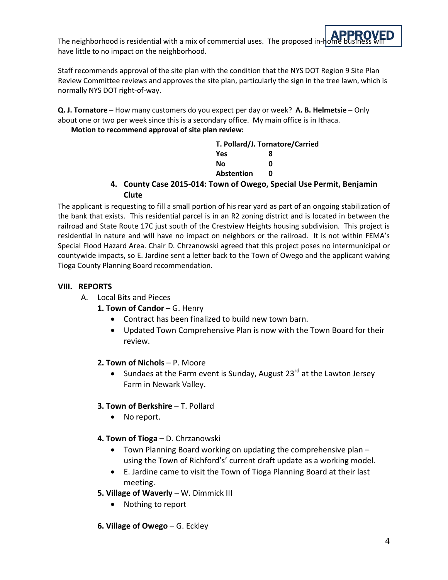**APPROVED** The neighborhood is residential with a mix of commercial uses. The proposed in- $h$ of have little to no impact on the neighborhood.

Staff recommends approval of the site plan with the condition that the NYS DOT Region 9 Site Plan Review Committee reviews and approves the site plan, particularly the sign in the tree lawn, which is normally NYS DOT right-of-way.

**Q. J. Tornatore** – How many customers do you expect per day or week? **A. B. Helmetsie** – Only about one or two per week since this is a secondary office. My main office is in Ithaca.

## **Motion to recommend approval of site plan review:**

|                                                                               | T. Pollard/J. Tornatore/Carried |  |
|-------------------------------------------------------------------------------|---------------------------------|--|
| Yes                                                                           |                                 |  |
| Nο                                                                            |                                 |  |
| <b>Abstention</b>                                                             |                                 |  |
| 4. County Case 2015-014: Town of Owego, Special Use Permit, Benjamin<br>Clute |                                 |  |

The applicant is requesting to fill a small portion of his rear yard as part of an ongoing stabilization of the bank that exists. This residential parcel is in an R2 zoning district and is located in between the railroad and State Route 17C just south of the Crestview Heights housing subdivision. This project is residential in nature and will have no impact on neighbors or the railroad. It is not within FEMA's Special Flood Hazard Area. Chair D. Chrzanowski agreed that this project poses no intermunicipal or countywide impacts, so E. Jardine sent a letter back to the Town of Owego and the applicant waiving Tioga County Planning Board recommendation.

# **VIII. REPORTS**

- A. Local Bits and Pieces
	- 1. Town of Candor G. Henry
		- Contract has been finalized to build new town barn.
		- Updated Town Comprehensive Plan is now with the Town Board for their review.

### **2. Town of Nichols** – P. Moore

• Sundaes at the Farm event is Sunday, August  $23^{rd}$  at the Lawton Jersey Farm in Newark Valley.

### **3. Town of Berkshire** – T. Pollard

- No report.
- **4. Town of Tioga –** D. Chrzanowski
	- Town Planning Board working on updating the comprehensive plan using the Town of Richford's' current draft update as a working model.
	- E. Jardine came to visit the Town of Tioga Planning Board at their last meeting.
- **5. Village of Waverly** W. Dimmick III
	- Nothing to report
- **6. Village of Owego** G. Eckley